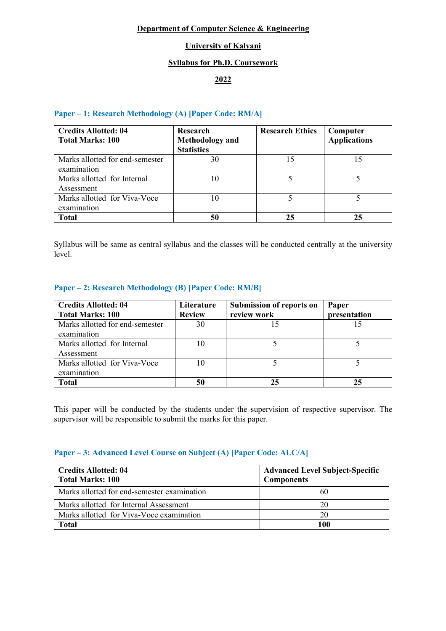## **Department of Computer Science & Engineering**

# **University of Kalyani**

## **Syllabus for Ph.D. Coursework**

# **2022**

## **Paper – 1: Research Methodology (A) [Paper Code: RM/A]**

| <b>Credits Allotted: 04</b><br><b>Total Marks: 100</b> | Research<br><b>Methodology</b> and<br><b>Statistics</b> | <b>Research Ethics</b> | Computer<br><b>Applications</b> |
|--------------------------------------------------------|---------------------------------------------------------|------------------------|---------------------------------|
| Marks allotted for end-semester<br>examination         | 30                                                      | 15                     |                                 |
| Marks allotted for Internal<br>Assessment              | 10                                                      |                        |                                 |
| Marks allotted for Viva-Voce<br>examination            | 10                                                      |                        |                                 |
| <b>Total</b>                                           | 50                                                      | 25                     | 25                              |

Syllabus will be same as central syllabus and the classes will be conducted centrally at the university level.

### **Paper – 2: Research Methodology (B) [Paper Code: RM/B]**

| <b>Credits Allotted: 04</b><br><b>Total Marks: 100</b> | Literature<br><b>Review</b> | Submission of reports on<br>review work | Paper<br>presentation |
|--------------------------------------------------------|-----------------------------|-----------------------------------------|-----------------------|
| Marks allotted for end-semester<br>examination         | 30                          |                                         |                       |
| Marks allotted for Internal<br>Assessment              | 10                          |                                         |                       |
| Marks allotted for Viva-Voce<br>examination            | 10                          |                                         |                       |
| <b>Total</b>                                           | 50                          | 25                                      | 25                    |

This paper will be conducted by the students under the supervision of respective supervisor. The supervisor will be responsible to submit the marks for this paper.

## **Paper – 3: Advanced Level Course on Subject (A) [Paper Code: ALC/A]**

| <b>Credits Allotted: 04</b><br><b>Total Marks: 100</b> | <b>Advanced Level Subject-Specific</b><br><b>Components</b> |  |
|--------------------------------------------------------|-------------------------------------------------------------|--|
| Marks allotted for end-semester examination            | 60                                                          |  |
| Marks allotted for Internal Assessment                 | 20                                                          |  |
| Marks allotted for Viva-Voce examination               | 20                                                          |  |
| <b>Total</b>                                           | 100                                                         |  |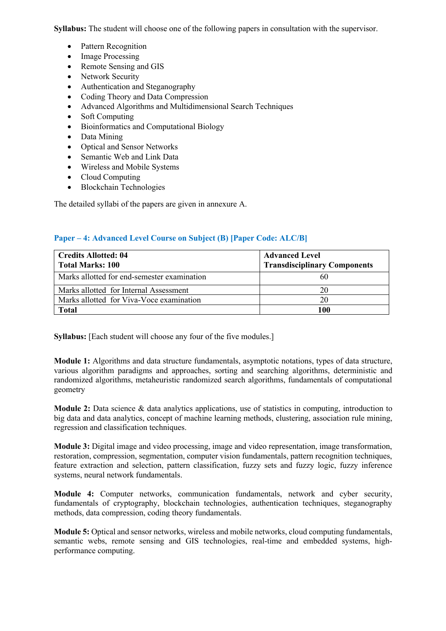**Syllabus:** The student will choose one of the following papers in consultation with the supervisor.

- Pattern Recognition
- Image Processing
- Remote Sensing and GIS
- Network Security
- Authentication and Steganography
- Coding Theory and Data Compression
- Advanced Algorithms and Multidimensional Search Techniques
- Soft Computing
- Bioinformatics and Computational Biology
- Data Mining
- Optical and Sensor Networks
- Semantic Web and Link Data
- Wireless and Mobile Systems
- Cloud Computing
- Blockchain Technologies

The detailed syllabi of the papers are given in annexure A.

### **Paper – 4: Advanced Level Course on Subject (B) [Paper Code: ALC/B]**

| <b>Credits Allotted: 04</b><br><b>Total Marks: 100</b> | <b>Advanced Level</b><br><b>Transdisciplinary Components</b> |  |
|--------------------------------------------------------|--------------------------------------------------------------|--|
| Marks allotted for end-semester examination            | 60                                                           |  |
| Marks allotted for Internal Assessment                 | 20                                                           |  |
| Marks allotted for Viva-Voce examination               | 20                                                           |  |
| <b>Total</b>                                           | 100                                                          |  |

**Syllabus:** [Each student will choose any four of the five modules.]

**Module 1:** Algorithms and data structure fundamentals, asymptotic notations, types of data structure, various algorithm paradigms and approaches, sorting and searching algorithms, deterministic and randomized algorithms, metaheuristic randomized search algorithms, fundamentals of computational geometry

**Module 2:** Data science & data analytics applications, use of statistics in computing, introduction to big data and data analytics, concept of machine learning methods, clustering, association rule mining, regression and classification techniques.

**Module 3:** Digital image and video processing, image and video representation, image transformation, restoration, compression, segmentation, computer vision fundamentals, pattern recognition techniques, feature extraction and selection, pattern classification, fuzzy sets and fuzzy logic, fuzzy inference systems, neural network fundamentals.

**Module 4:** Computer networks, communication fundamentals, network and cyber security, fundamentals of cryptography, blockchain technologies, authentication techniques, steganography methods, data compression, coding theory fundamentals.

**Module 5:** Optical and sensor networks, wireless and mobile networks, cloud computing fundamentals, semantic webs, remote sensing and GIS technologies, real-time and embedded systems, highperformance computing.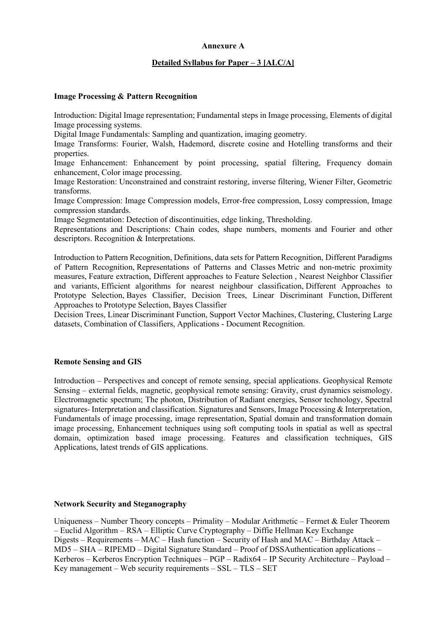### **Annexure A**

#### **Detailed Syllabus for Paper – 3 [ALC/A]**

#### **Image Processing & Pattern Recognition**

Introduction: Digital Image representation; Fundamental steps in Image processing, Elements of digital Image processing systems.

Digital Image Fundamentals: Sampling and quantization, imaging geometry.

Image Transforms: Fourier, Walsh, Hademord, discrete cosine and Hotelling transforms and their properties.

Image Enhancement: Enhancement by point processing, spatial filtering, Frequency domain enhancement, Color image processing.

Image Restoration: Unconstrained and constraint restoring, inverse filtering, Wiener Filter, Geometric transforms.

Image Compression: Image Compression models, Error-free compression, Lossy compression, Image compression standards.

Image Segmentation: Detection of discontinuities, edge linking, Thresholding.

Representations and Descriptions: Chain codes, shape numbers, moments and Fourier and other descriptors. Recognition & Interpretations.

Introduction to Pattern Recognition, Definitions, data sets for Pattern Recognition, Different Paradigms of Pattern Recognition, Representations of Patterns and Classes Metric and non-metric proximity measures, Feature extraction, Different approaches to Feature Selection , Nearest Neighbor Classifier and variants, Efficient algorithms for nearest neighbour classification, Different Approaches to Prototype Selection, Bayes Classifier, Decision Trees, Linear Discriminant Function, Different Approaches to Prototype Selection, Bayes Classifier

Decision Trees, Linear Discriminant Function, Support Vector Machines, Clustering, Clustering Large datasets, Combination of Classifiers, Applications - Document Recognition.

#### **Remote Sensing and GIS**

Introduction – Perspectives and concept of remote sensing, special applications. Geophysical Remote Sensing – external fields, magnetic, geophysical remote sensing: Gravity, crust dynamics seismology. Electromagnetic spectrum; The photon, Distribution of Radiant energies, Sensor technology, Spectral signatures- Interpretation and classification. Signatures and Sensors, Image Processing & Interpretation, Fundamentals of image processing, image representation, Spatial domain and transformation domain image processing, Enhancement techniques using soft computing tools in spatial as well as spectral domain, optimization based image processing. Features and classification techniques, GIS Applications, latest trends of GIS applications.

#### **Network Security and Steganography**

Uniqueness – Number Theory concepts – Primality – Modular Arithmetic – Fermet & Euler Theorem – Euclid Algorithm – RSA – Elliptic Curve Cryptography – Diffie Hellman Key Exchange Digests – Requirements – MAC – Hash function – Security of Hash and MAC – Birthday Attack – MD5 – SHA – RIPEMD – Digital Signature Standard – Proof of DSSAuthentication applications – Kerberos – Kerberos Encryption Techniques – PGP – Radix64 – IP Security Architecture – Payload – Key management – Web security requirements –  $SSL - TLS - SET$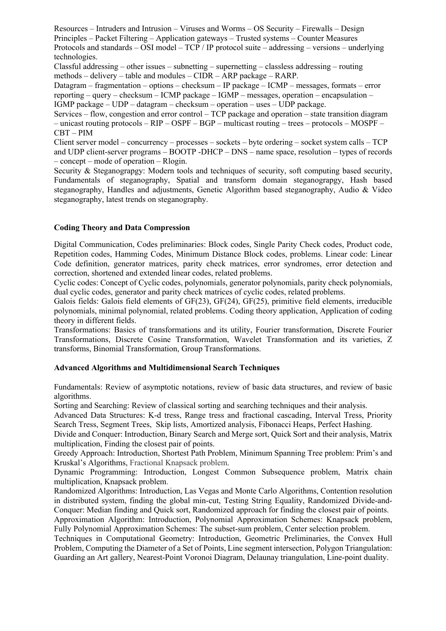Resources – Intruders and Intrusion – Viruses and Worms – OS Security – Firewalls – Design Principles – Packet Filtering – Application gateways – Trusted systems – Counter Measures Protocols and standards – OSI model – TCP / IP protocol suite – addressing – versions – underlying technologies.

Classful addressing – other issues – subnetting – supernetting – classless addressing – routing methods – delivery – table and modules – CIDR – ARP package – RARP.

Datagram – fragmentation – options – checksum – IP package – ICMP – messages, formats – error reporting – query – checksum – ICMP package – IGMP – messages, operation – encapsulation – IGMP package – UDP – datagram – checksum – operation – uses – UDP package.

Services – flow, congestion and error control – TCP package and operation – state transition diagram – unicast routing protocols – RIP – OSPF – BGP – multicast routing – trees – protocols – MOSPF – CBT – PIM

Client server model – concurrency – processes – sockets – byte ordering – socket system calls – TCP and UDP client-server programs – BOOTP -DHCP – DNS – name space, resolution – types of records – concept – mode of operation – Rlogin.

Security & Steganograpgy: Modern tools and techniques of security, soft computing based security, Fundamentals of steganography, Spatial and transform domain steganograpgy, Hash based steganography, Handles and adjustments, Genetic Algorithm based steganography, Audio & Video steganography, latest trends on steganography.

## **Coding Theory and Data Compression**

Digital Communication, Codes preliminaries: Block codes, Single Parity Check codes, Product code, Repetition codes, Hamming Codes, Minimum Distance Block codes, problems. Linear code: Linear Code definition, generator matrices, parity check matrices, error syndromes, error detection and correction, shortened and extended linear codes, related problems.

Cyclic codes: Concept of Cyclic codes, polynomials, generator polynomials, parity check polynomials, dual cyclic codes, generator and parity check matrices of cyclic codes, related problems.

Galois fields: Galois field elements of GF(23), GF(24), GF(25), primitive field elements, irreducible polynomials, minimal polynomial, related problems. Coding theory application, Application of coding theory in different fields.

Transformations: Basics of transformations and its utility, Fourier transformation, Discrete Fourier Transformations, Discrete Cosine Transformation, Wavelet Transformation and its varieties, Z transforms, Binomial Transformation, Group Transformations.

### **Advanced Algorithms and Multidimensional Search Techniques**

Fundamentals: Review of asymptotic notations, review of basic data structures, and review of basic algorithms.

Sorting and Searching: Review of classical sorting and searching techniques and their analysis.

Advanced Data Structures: K-d tress, Range tress and fractional cascading, Interval Tress, Priority Search Tress, Segment Trees, Skip lists, Amortized analysis, Fibonacci Heaps, Perfect Hashing.

Divide and Conquer: Introduction, Binary Search and Merge sort, Quick Sort and their analysis, Matrix multiplication, Finding the closest pair of points.

Greedy Approach: Introduction, Shortest Path Problem, Minimum Spanning Tree problem: Prim's and Kruskal's Algorithms, Fractional Knapsack problem.

Dynamic Programming: Introduction, Longest Common Subsequence problem, Matrix chain multiplication, Knapsack problem.

Randomized Algorithms: Introduction, Las Vegas and Monte Carlo Algorithms, Contention resolution in distributed system, finding the global min-cut, Testing String Equality, Randomized Divide-and-Conquer: Median finding and Quick sort, Randomized approach for finding the closest pair of points.

Approximation Algorithm: Introduction, Polynomial Approximation Schemes: Knapsack problem, Fully Polynomial Approximation Schemes: The subset-sum problem, Center selection problem.

Techniques in Computational Geometry: Introduction, Geometric Preliminaries, the Convex Hull Problem, Computing the Diameter of a Set of Points, Line segment intersection, Polygon Triangulation: Guarding an Art gallery, Nearest-Point Voronoi Diagram, Delaunay triangulation, Line-point duality.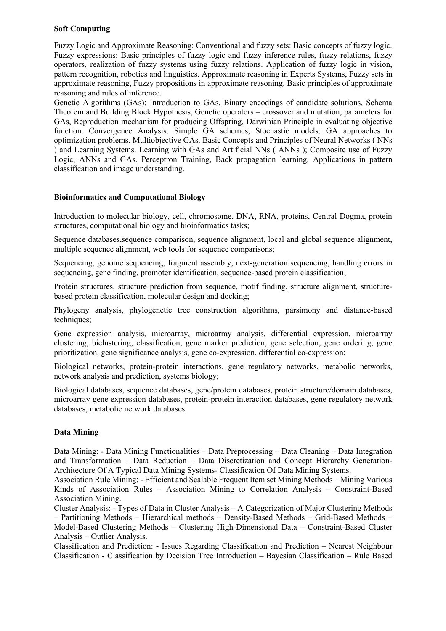## **Soft Computing**

Fuzzy Logic and Approximate Reasoning: Conventional and fuzzy sets: Basic concepts of fuzzy logic. Fuzzy expressions: Basic principles of fuzzy logic and fuzzy inference rules, fuzzy relations, fuzzy operators, realization of fuzzy systems using fuzzy relations. Application of fuzzy logic in vision, pattern recognition, robotics and linguistics. Approximate reasoning in Experts Systems, Fuzzy sets in approximate reasoning, Fuzzy propositions in approximate reasoning. Basic principles of approximate reasoning and rules of inference.

Genetic Algorithms (GAs): Introduction to GAs, Binary encodings of candidate solutions, Schema Theorem and Building Block Hypothesis, Genetic operators – crossover and mutation, parameters for GAs, Reproduction mechanism for producing Offspring, Darwinian Principle in evaluating objective function. Convergence Analysis: Simple GA schemes, Stochastic models: GA approaches to optimization problems. Multiobjective GAs. Basic Concepts and Principles of Neural Networks ( NNs ) and Learning Systems. Learning with GAs and Artificial NNs ( ANNs ); Composite use of Fuzzy Logic, ANNs and GAs. Perceptron Training, Back propagation learning, Applications in pattern classification and image understanding.

## **Bioinformatics and Computational Biology**

Introduction to molecular biology, cell, chromosome, DNA, RNA, proteins, Central Dogma, protein structures, computational biology and bioinformatics tasks;

Sequence databases,sequence comparison, sequence alignment, local and global sequence alignment, multiple sequence alignment, web tools for sequence comparisons;

Sequencing, genome sequencing, fragment assembly, next-generation sequencing, handling errors in sequencing, gene finding, promoter identification, sequence-based protein classification;

Protein structures, structure prediction from sequence, motif finding, structure alignment, structurebased protein classification, molecular design and docking;

Phylogeny analysis, phylogenetic tree construction algorithms, parsimony and distance-based techniques;

Gene expression analysis, microarray, microarray analysis, differential expression, microarray clustering, biclustering, classification, gene marker prediction, gene selection, gene ordering, gene prioritization, gene significance analysis, gene co-expression, differential co-expression;

Biological networks, protein-protein interactions, gene regulatory networks, metabolic networks, network analysis and prediction, systems biology;

Biological databases, sequence databases, gene/protein databases, protein structure/domain databases, microarray gene expression databases, protein-protein interaction databases, gene regulatory network databases, metabolic network databases.

### **Data Mining**

Data Mining: - Data Mining Functionalities – Data Preprocessing – Data Cleaning – Data Integration and Transformation – Data Reduction – Data Discretization and Concept Hierarchy Generation-Architecture Of A Typical Data Mining Systems- Classification Of Data Mining Systems.

Association Rule Mining: - Efficient and Scalable Frequent Item set Mining Methods – Mining Various Kinds of Association Rules – Association Mining to Correlation Analysis – Constraint-Based Association Mining.

Cluster Analysis: - Types of Data in Cluster Analysis – A Categorization of Major Clustering Methods – Partitioning Methods – Hierarchical methods – Density-Based Methods – Grid-Based Methods – Model-Based Clustering Methods – Clustering High-Dimensional Data – Constraint-Based Cluster Analysis – Outlier Analysis.

Classification and Prediction: - Issues Regarding Classification and Prediction – Nearest Neighbour Classification - Classification by Decision Tree Introduction – Bayesian Classification – Rule Based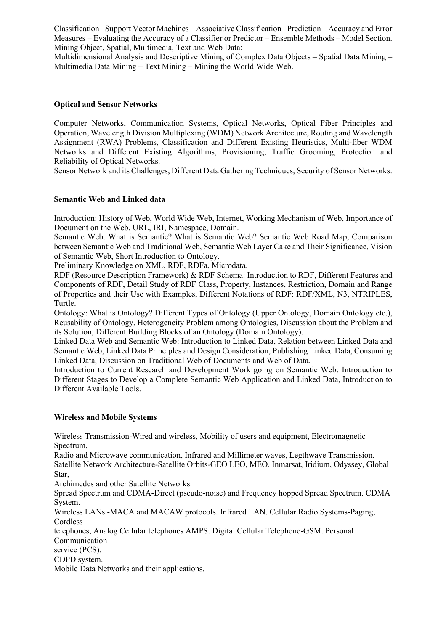Classification –Support Vector Machines – Associative Classification –Prediction – Accuracy and Error Measures – Evaluating the Accuracy of a Classifier or Predictor – Ensemble Methods – Model Section. Mining Object, Spatial, Multimedia, Text and Web Data:

Multidimensional Analysis and Descriptive Mining of Complex Data Objects – Spatial Data Mining – Multimedia Data Mining – Text Mining – Mining the World Wide Web.

## **Optical and Sensor Networks**

Computer Networks, Communication Systems, Optical Networks, Optical Fiber Principles and Operation, Wavelength Division Multiplexing (WDM) Network Architecture, Routing and Wavelength Assignment (RWA) Problems, Classification and Different Existing Heuristics, Multi-fiber WDM Networks and Different Existing Algorithms, Provisioning, Traffic Grooming, Protection and Reliability of Optical Networks.

Sensor Network and its Challenges, Different Data Gathering Techniques, Security of Sensor Networks.

## **Semantic Web and Linked data**

Introduction: History of Web, World Wide Web, Internet, Working Mechanism of Web, Importance of Document on the Web, URL, IRI, Namespace, Domain.

Semantic Web: What is Semantic? What is Semantic Web? Semantic Web Road Map, Comparison between Semantic Web and Traditional Web, Semantic Web Layer Cake and Their Significance, Vision of Semantic Web, Short Introduction to Ontology.

Preliminary Knowledge on XML, RDF, RDFa, Microdata.

RDF (Resource Description Framework) & RDF Schema: Introduction to RDF, Different Features and Components of RDF, Detail Study of RDF Class, Property, Instances, Restriction, Domain and Range of Properties and their Use with Examples, Different Notations of RDF: RDF/XML, N3, NTRIPLES, Turtle.

Ontology: What is Ontology? Different Types of Ontology (Upper Ontology, Domain Ontology etc.), Reusability of Ontology, Heterogeneity Problem among Ontologies, Discussion about the Problem and its Solution, Different Building Blocks of an Ontology (Domain Ontology).

Linked Data Web and Semantic Web: Introduction to Linked Data, Relation between Linked Data and Semantic Web, Linked Data Principles and Design Consideration, Publishing Linked Data, Consuming Linked Data, Discussion on Traditional Web of Documents and Web of Data.

Introduction to Current Research and Development Work going on Semantic Web: Introduction to Different Stages to Develop a Complete Semantic Web Application and Linked Data, Introduction to Different Available Tools.

### **Wireless and Mobile Systems**

Wireless Transmission-Wired and wireless, Mobility of users and equipment, Electromagnetic Spectrum,

Radio and Microwave communication, Infrared and Millimeter waves, Legthwave Transmission. Satellite Network Architecture-Satellite Orbits-GEO LEO, MEO. Inmarsat, Iridium, Odyssey, Global Star,

Archimedes and other Satellite Networks.

Spread Spectrum and CDMA-Direct (pseudo-noise) and Frequency hopped Spread Spectrum. CDMA System.

Wireless LANs -MACA and MACAW protocols. Infrared LAN. Cellular Radio Systems-Paging, **Cordless** 

telephones, Analog Cellular telephones AMPS. Digital Cellular Telephone-GSM. Personal Communication

service (PCS).

CDPD system.

Mobile Data Networks and their applications.